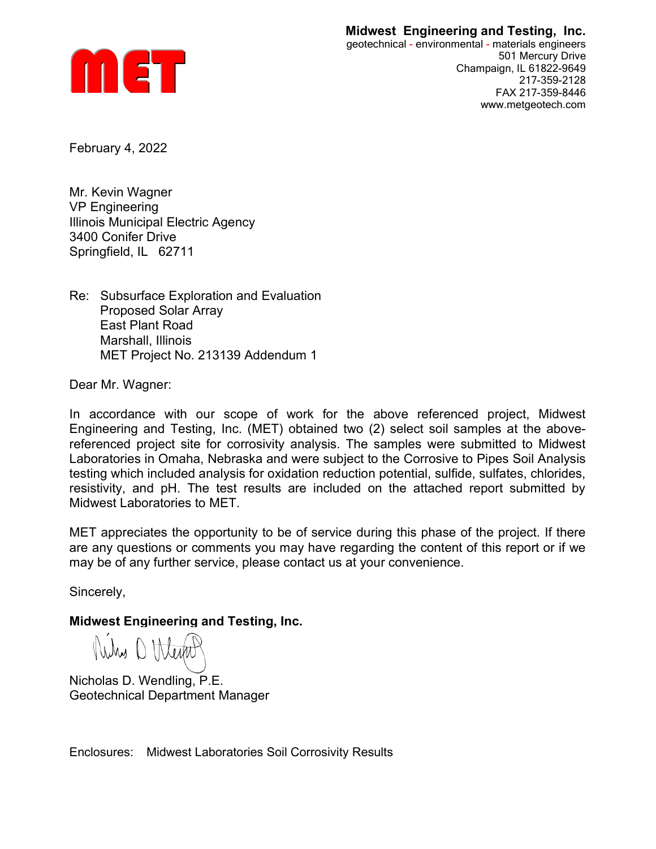## Midwest Engineering and Testing, Inc.



geotechnical - environmental - materials engineers 501 Mercury Drive Champaign, IL 61822-9649 217-359-2128 FAX 217-359-8446 www.metgeotech.com

February 4, 2022

Mr. Kevin Wagner VP Engineering Illinois Municipal Electric Agency 3400 Conifer Drive Springfield, IL 62711

Re: Subsurface Exploration and Evaluation Proposed Solar Array East Plant Road Marshall, Illinois MET Project No. 213139 Addendum 1

Dear Mr. Wagner:

In accordance with our scope of work for the above referenced project, Midwest Engineering and Testing, Inc. (MET) obtained two (2) select soil samples at the abovereferenced project site for corrosivity analysis. The samples were submitted to Midwest Laboratories in Omaha, Nebraska and were subject to the Corrosive to Pipes Soil Analysis testing which included analysis for oxidation reduction potential, sulfide, sulfates, chlorides, resistivity, and pH. The test results are included on the attached report submitted by Midwest Laboratories to MET.

MET appreciates the opportunity to be of service during this phase of the project. If there are any questions or comments you may have regarding the content of this report or if we may be of any further service, please contact us at your convenience.

Sincerely,

Midwest Engineering and Testing, Inc.

Nikes O Weight

Nicholas D. Wendling, P.E. Geotechnical Department Manager

Enclosures: Midwest Laboratories Soil Corrosivity Results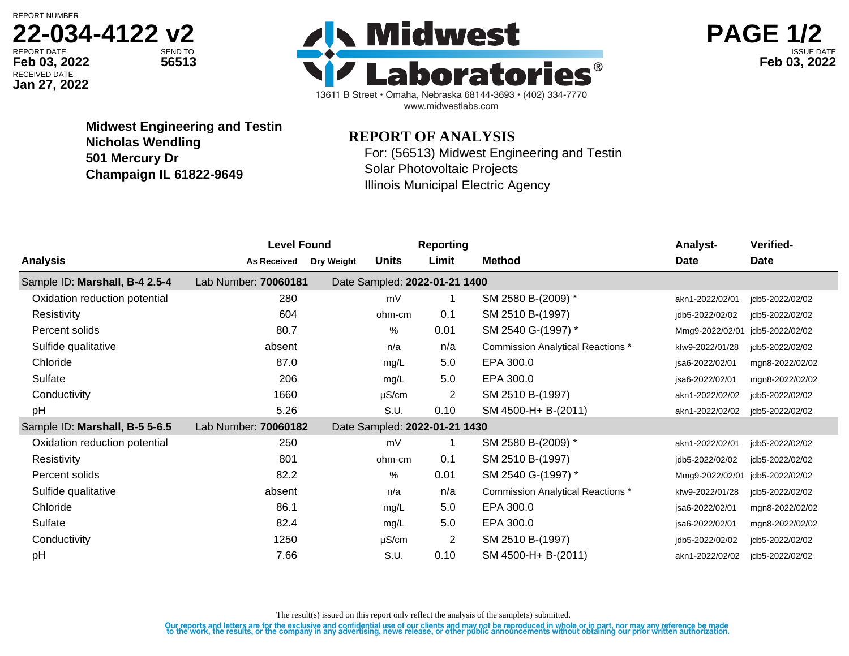REPORT NUMBER

## **22-034-4122 v2**

RECEIVED DATE **Jan 27, 2022**





**Midwest Engineering and Testin Nicholas Wendling 501 Mercury Dr Champaign IL 61822-9649**

## **REPORT OF ANALYSIS**

For: (56513) Midwest Engineering and Testin Solar Photovoltaic Projects Illinois Municipal Electric Agency

| <b>Analysis</b><br><b>Method</b><br><b>Date</b><br>Limit<br>Date<br>Units<br>Dry Weight<br><b>As Received</b> |                 |
|---------------------------------------------------------------------------------------------------------------|-----------------|
|                                                                                                               |                 |
| Lab Number: 70060181<br>Date Sampled: 2022-01-21 1400<br>Sample ID: Marshall, B-4 2.5-4                       |                 |
| SM 2580 B-(2009) *<br>Oxidation reduction potential<br>280<br>mV<br>akn1-2022/02/01                           | jdb5-2022/02/02 |
| 604<br>SM 2510 B-(1997)<br>Resistivity<br>0.1<br>ohm-cm<br>idb5-2022/02/02                                    | idb5-2022/02/02 |
| 80.7<br>0.01<br>SM 2540 G-(1997) *<br>Percent solids<br>%<br>Mmg9-2022/02/01                                  | jdb5-2022/02/02 |
| Sulfide qualitative<br>n/a<br>absent<br><b>Commission Analytical Reactions *</b><br>n/a<br>kfw9-2022/01/28    | jdb5-2022/02/02 |
| 87.0<br>Chloride<br>5.0<br>EPA 300.0<br>mg/L<br>isa6-2022/02/01                                               | mgn8-2022/02/02 |
| Sulfate<br>206<br>EPA 300.0<br>5.0<br>mg/L<br>isa6-2022/02/01                                                 | mgn8-2022/02/02 |
| 1660<br>$\overline{2}$<br>SM 2510 B-(1997)<br>Conductivity<br>$\mu$ S/cm<br>akn1-2022/02/02                   | idb5-2022/02/02 |
| 5.26<br>pH<br>0.10<br>SM 4500-H+ B-(2011)<br>S.U.<br>akn1-2022/02/02                                          | jdb5-2022/02/02 |
| Sample ID: Marshall, B-5 5-6.5<br>Lab Number: 70060182<br>Date Sampled: 2022-01-21 1430                       |                 |
| SM 2580 B-(2009) *<br>Oxidation reduction potential<br>250<br>mV<br>akn1-2022/02/01                           | jdb5-2022/02/02 |
| 801<br>0.1<br>SM 2510 B-(1997)<br>Resistivity<br>ohm-cm<br>jdb5-2022/02/02                                    | jdb5-2022/02/02 |
| 82.2<br>%<br>0.01<br>SM 2540 G-(1997) *<br>Percent solids<br>Mmg9-2022/02/01                                  | idb5-2022/02/02 |
| Sulfide qualitative<br>absent<br>n/a<br><b>Commission Analytical Reactions *</b><br>n/a<br>kfw9-2022/01/28    | idb5-2022/02/02 |
| Chloride<br>86.1<br>5.0<br>EPA 300.0<br>mg/L<br>jsa6-2022/02/01                                               | mgn8-2022/02/02 |
| Sulfate<br>82.4<br>5.0<br>EPA 300.0<br>mg/L<br>jsa6-2022/02/01                                                | mgn8-2022/02/02 |
| 2<br>1250<br>SM 2510 B-(1997)<br>Conductivity<br>$\mu$ S/cm<br>jdb5-2022/02/02                                | jdb5-2022/02/02 |
| pH<br>SM 4500-H+ B-(2011)<br>7.66<br>0.10<br>S.U.<br>akn1-2022/02/02                                          | idb5-2022/02/02 |

The result(s) issued on this report only reflect the analysis of the sample(s) submitted.

Our reports and letters are for the exclusive and confidential use of our clients and may not be reproduced in whole or in part, nor may any reference be made<br>to the work, the results, or the company in any advertising, ne